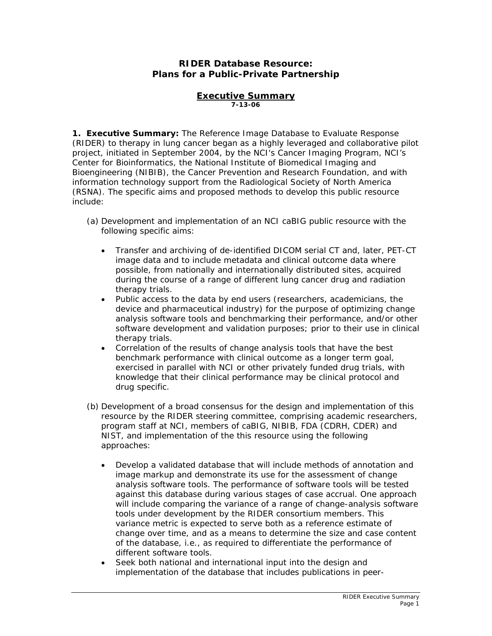# **RIDER Database Resource: Plans for a Public-Private Partnership**

#### **Executive Summary** *7-13-06*

**1. Executive Summary:** The Reference Image Database to Evaluate Response (RIDER) to therapy in lung cancer began as a highly leveraged and collaborative *pilot*  project, initiated in September 2004, by the NCI's Cancer Imaging Program, NCI's Center for Bioinformatics, the National Institute of Biomedical Imaging and Bioengineering (NIBIB), the Cancer Prevention and Research Foundation, and with information technology support from the Radiological Society of North America (RSNA). The specific aims and proposed methods to develop this public resource include:

*(a) Development and implementation of an NCI caBIG public resource with the following specific aims:* 

- Transfer and archiving of de-identified DICOM serial CT and, later, PET-CT image data and to include metadata and clinical outcome data where possible, from nationally and internationally distributed sites, acquired during the course of a range of different lung cancer drug and radiation therapy trials.
- Public access to the data by end users (researchers, academicians, the device and pharmaceutical industry) for the purpose of optimizing change analysis software tools and benchmarking their performance, and/or other software development and validation purposes; prior to their use in clinical therapy trials.
- Correlation of the results of change analysis tools that have the best benchmark performance with clinical outcome as a longer term goal, exercised in parallel with NCI or other privately funded drug trials, with knowledge that their clinical performance may be clinical protocol and drug specific.
- *(b) Development of a broad consensus for the design and implementation of this resource by the RIDER steering committee, comprising academic researchers, program staff at NCI, members of caBIG, NIBIB, FDA (CDRH, CDER) and NIST, and implementation of the this resource using the following approaches:* 
	- Develop a validated database that will include methods of annotation and image markup and demonstrate its use for the assessment of change analysis software tools. The performance of software tools will be tested against this database during various stages of case accrual. One approach will include comparing the variance of a range of change-analysis software tools under development by the RIDER consortium members. This variance metric is expected to serve both as a reference estimate of change over time, and as a means to determine the size and case content of the database, i.e., as required to differentiate the performance of different software tools.
	- Seek both national and international input into the design and implementation of the database that includes publications in peer-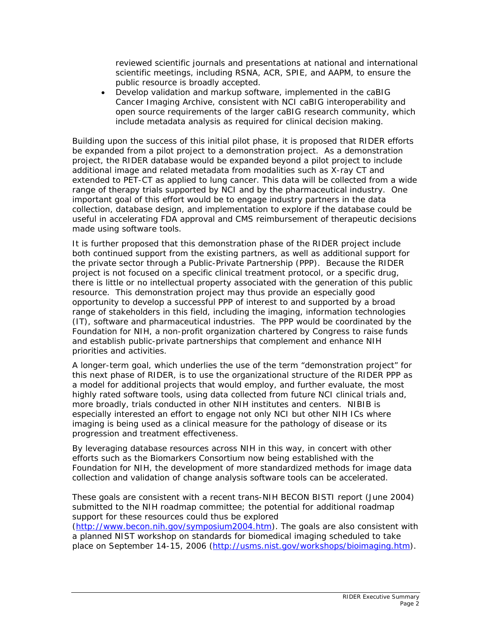reviewed scientific journals and presentations at national and international scientific meetings, including RSNA, ACR, SPIE, and AAPM, to ensure the public resource is broadly accepted.

• Develop validation and markup software, implemented in the caBIG Cancer Imaging Archive, consistent with NCI caBIG interoperability and open source requirements of the larger caBIG research community, which include metadata analysis as required for clinical decision making.

Building upon the success of this initial pilot phase, it is proposed that RIDER efforts be expanded from a *pilot* project to a *demonstration* project. As a demonstration project, the RIDER database would be expanded beyond a pilot project to include additional image and related metadata from modalities such as X-ray CT and extended to PET-CT as applied to lung cancer*.* This data will be collected from a wide range of therapy trials supported by NCI and by the pharmaceutical industry. One important goal of this effort would be to engage industry partners in the data collection, database design, and implementation to explore if the database could be useful in accelerating FDA approval and CMS reimbursement of therapeutic decisions made using software tools.

It is further proposed that this demonstration phase of the RIDER project include both continued support from the existing partners, as well as additional support for the private sector through a Public-Private Partnership (PPP). Because the RIDER project is not focused on a specific clinical treatment protocol, or a specific drug, there is little or no intellectual property associated with the generation of this public resource. This demonstration project may thus provide an especially good opportunity to develop a successful PPP of interest to and supported by a broad range of stakeholders in this field, including the imaging, information technologies (IT), software and pharmaceutical industries. The PPP would be coordinated by the Foundation for NIH, a non-profit organization chartered by Congress to raise funds and establish public-private partnerships that complement and enhance NIH priorities and activities.

A longer-term goal, which underlies the use of the term "demonstration project" for this next phase of RIDER, is to use the *organizational structure* of the RIDER PPP as a model for additional projects that would employ, and further evaluate, the most highly rated software tools, using data collected from future NCI clinical trials and, more broadly, trials conducted in other NIH institutes and centers. NIBIB is especially interested an effort to engage not only NCI but other NIH ICs where imaging is being used as a clinical measure for the pathology of disease or its progression and treatment effectiveness.

By leveraging database resources across NIH in this way, in concert with other efforts such as the Biomarkers Consortium now being established with the Foundation for NIH, the development of more standardized methods for image data collection and validation of change analysis software tools can be accelerated.

These goals are consistent with a recent trans-NIH BECON BISTI report (June 2004) submitted to the NIH roadmap committee; the potential for additional roadmap support for these resources could thus be explored

(<http://www.becon.nih.gov/symposium2004.htm>). The goals are also consistent with a planned NIST workshop on standards for biomedical imaging scheduled to take place on September 14-15, 2006 [\(http://usms.nist.gov/workshops/bioimaging.htm](http://usms.nist.gov/workshops/bioimaging.htm)).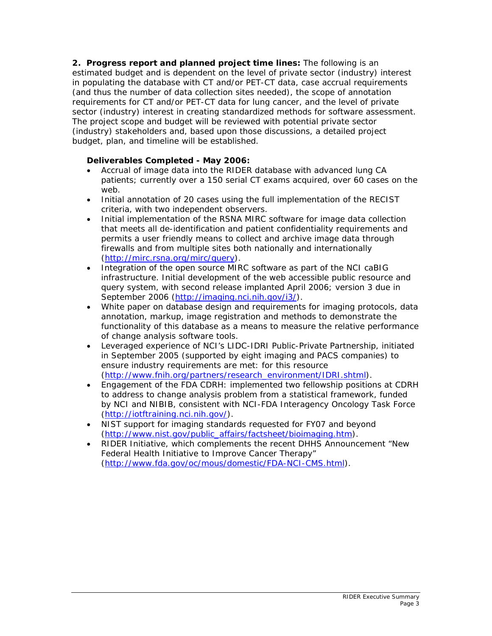**2. Progress report and planned project time lines:** The following is an estimated budget and is dependent on the level of private sector (industry) interest in populating the database with CT and/or PET-CT data, case accrual requirements (and thus the number of data collection sites needed), the scope of annotation requirements for CT and/or PET-CT data for lung cancer, and the level of private sector (industry) interest in creating standardized methods for software assessment. The project scope and budget will be reviewed with potential private sector (industry) stakeholders and, based upon those discussions, a detailed project budget, plan, and timeline will be established.

# **Deliverables Completed - May 2006:**

- Accrual of image data into the RIDER database with advanced lung CA patients; currently over a 150 serial CT exams acquired, over 60 cases on the web.
- Initial annotation of 20 cases using the full implementation of the RECIST criteria, with two independent observers.
- Initial implementation of the RSNA MIRC software for image data collection that meets all de-identification and patient confidentiality requirements and permits a user friendly means to collect and archive image data through firewalls and from multiple sites both nationally and internationally ([http://mirc.rsna.org/mirc/query\)](http://mirc.rsna.org/mirc/query).
- Integration of the open source MIRC software as part of the NCI caBIG infrastructure. Initial development of the web accessible public resource and query system, with second release implanted April 2006; version 3 due in September 2006 [\(http://imaging.nci.nih.gov/i3/](http://imaging.nci.nih.gov/i3/)).
- White paper on database design and requirements for imaging protocols, data annotation, markup, image registration and methods to demonstrate the functionality of this database as a means to measure the relative performance of change analysis software tools.
- Leveraged experience of NCI's LIDC-IDRI Public-Private Partnership, initiated in September 2005 (supported by eight imaging and PACS companies) to ensure industry requirements are met: for this resource ([http://www.fnih.org/partners/research\\_environment/IDRI.shtml\)](http://www.fnih.org/partners/research_environment/IDRI.shtml).
- Engagement of the FDA CDRH: implemented two fellowship positions at CDRH to address to change analysis problem from a statistical framework, funded by NCI and NIBIB, consistent with NCI-FDA Interagency Oncology Task Force ([http://iotftraining.nci.nih.gov/\)](http://iotftraining.nci.nih.gov/).
- NIST support for imaging standards requested for FY07 and beyond ([http://www.nist.gov/public\\_affairs/factsheet/bioimaging.htm](http://www.nist.gov/public_affairs/factsheet/bioimaging.htm)).
- RIDER Initiative, which complements the recent DHHS Announcement "New Federal Health Initiative to Improve Cancer Therapy" ([http://www.fda.gov/oc/mous/domestic/FDA-NCI-CMS.html\)](http://www.fda.gov/oc/mous/domestic/FDA-NCI-CMS.html).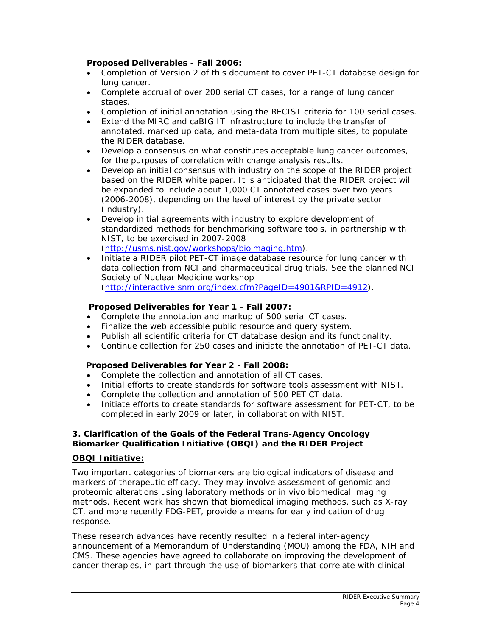## **Proposed Deliverables - Fall 2006:**

- Completion of Version 2 of this document to cover PET-CT database design for lung cancer.
- Complete accrual of over 200 serial CT cases, for a range of lung cancer stages.
- Completion of initial annotation using the RECIST criteria for 100 serial cases.
- Extend the MIRC and caBIG IT infrastructure to include the transfer of annotated, marked up data, and meta-data from multiple sites, to populate the RIDER database.
- Develop a consensus on what constitutes acceptable lung cancer outcomes, for the purposes of correlation with change analysis results.
- Develop an initial consensus with industry on the scope of the RIDER project based on the RIDER white paper. It is anticipated that the RIDER project will be expanded to include about 1,000 CT annotated cases over two years (2006-2008), depending on the level of interest by the private sector (industry).
- Develop initial agreements with industry to explore development of standardized methods for benchmarking software tools, in partnership with NIST, to be exercised in 2007-2008 (<http://usms.nist.gov/workshops/bioimaging.htm>).
- Initiate a RIDER pilot PET-CT image database resource for lung cancer with data collection from NCI and pharmaceutical drug trials. See the planned NCI Society of Nuclear Medicine workshop ([http://interactive.snm.org/index.cfm?PageID=4901&RPID=4912\)](http://interactive.snm.org/index.cfm?PageID=4901&RPID=4912).

## **Proposed Deliverables for Year 1 - Fall 2007:**

- Complete the annotation and markup of 500 serial CT cases*.*
- Finalize the web accessible public resource and query system.
- Publish all scientific criteria for CT database design and its functionality.
- Continue collection for 250 cases and initiate the annotation of PET-CT data.

#### **Proposed Deliverables for Year 2 - Fall 2008:**

- Complete the collection and annotation of all CT cases.
- Initial efforts to create standards for software tools assessment with NIST.
- Complete the collection and annotation of 500 PET CT data.
- Initiate efforts to create standards for software assessment for PET-CT, to be completed in early 2009 or later, in collaboration with NIST.

#### **3. Clarification of the Goals of the Federal Trans-Agency Oncology Biomarker Qualification Initiative (OBQI) and the RIDER Project**

#### **OBQI Initiative:**

Two important categories of biomarkers are biological indicators of disease and markers of therapeutic efficacy. They may involve assessment of genomic and proteomic alterations using laboratory methods or *in vivo* biomedical imaging methods. Recent work has shown that biomedical imaging methods, such as X-ray CT, and more recently FDG-PET, provide a means for early indication of drug response.

These research advances have recently resulted in a federal inter-agency announcement of a Memorandum of Understanding (MOU) among the FDA, NIH and CMS. These agencies have agreed to collaborate on improving the development of cancer therapies, in part through the use of biomarkers that correlate with clinical